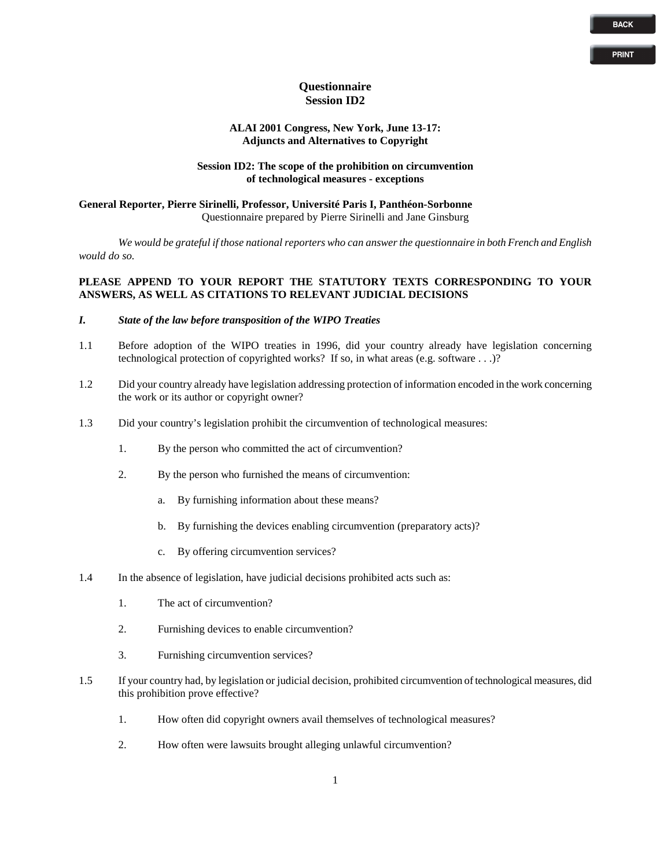**PRINT**

### **Questionnaire Session ID2**

### **ALAI 2001 Congress, New York, June 13-17: Adjuncts and Alternatives to Copyright**

#### **Session ID2: The scope of the prohibition on circumvention of technological measures - exceptions**

# **General Reporter, Pierre Sirinelli, Professor, Université Paris I, Panthéon-Sorbonne** Questionnaire prepared by Pierre Sirinelli and Jane Ginsburg

*We would be grateful if those national reporters who can answer the questionnaire in both French and English would do so.* 

# **PLEASE APPEND TO YOUR REPORT THE STATUTORY TEXTS CORRESPONDING TO YOUR ANSWERS, AS WELL AS CITATIONS TO RELEVANT JUDICIAL DECISIONS**

## *I. State of the law before transposition of the WIPO Treaties*

- 1.1 Before adoption of the WIPO treaties in 1996, did your country already have legislation concerning technological protection of copyrighted works? If so, in what areas (e.g. software . . .)?
- 1.2 Did your country already have legislation addressing protection of information encoded in the work concerning the work or its author or copyright owner?
- 1.3 Did your country's legislation prohibit the circumvention of technological measures:
	- 1. By the person who committed the act of circumvention?
	- 2. By the person who furnished the means of circumvention:
		- a. By furnishing information about these means?
		- b. By furnishing the devices enabling circumvention (preparatory acts)?
		- c. By offering circumvention services?
- 1.4 In the absence of legislation, have judicial decisions prohibited acts such as:
	- 1. The act of circumvention?
	- 2. Furnishing devices to enable circumvention?
	- 3. Furnishing circumvention services?
- 1.5 If your country had, by legislation or judicial decision, prohibited circumvention of technological measures, did this prohibition prove effective?
	- 1. How often did copyright owners avail themselves of technological measures?
	- 2. How often were lawsuits brought alleging unlawful circumvention?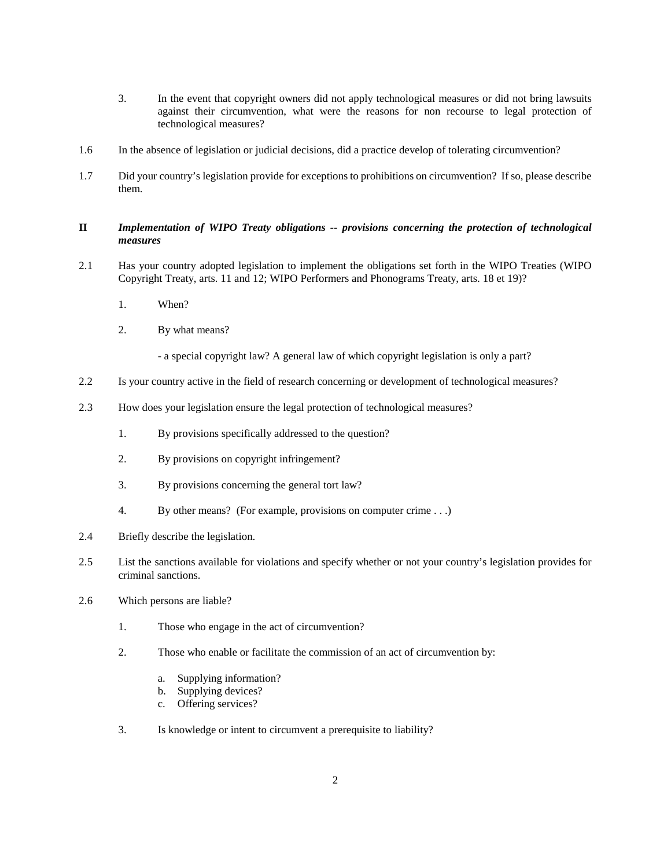- 3. In the event that copyright owners did not apply technological measures or did not bring lawsuits against their circumvention, what were the reasons for non recourse to legal protection of technological measures?
- 1.6 In the absence of legislation or judicial decisions, did a practice develop of tolerating circumvention?
- 1.7 Did your country's legislation provide for exceptions to prohibitions on circumvention? If so, please describe them.

## **II** *Implementation of WIPO Treaty obligations -- provisions concerning the protection of technological measures*

- 2.1 Has your country adopted legislation to implement the obligations set forth in the WIPO Treaties (WIPO Copyright Treaty, arts. 11 and 12; WIPO Performers and Phonograms Treaty, arts. 18 et 19)?
	- 1. When?
	- 2. By what means?
		- a special copyright law? A general law of which copyright legislation is only a part?
- 2.2 Is your country active in the field of research concerning or development of technological measures?
- 2.3 How does your legislation ensure the legal protection of technological measures?
	- 1. By provisions specifically addressed to the question?
	- 2. By provisions on copyright infringement?
	- 3. By provisions concerning the general tort law?
	- 4. By other means? (For example, provisions on computer crime . . .)
- 2.4 Briefly describe the legislation.
- 2.5 List the sanctions available for violations and specify whether or not your country's legislation provides for criminal sanctions.
- 2.6 Which persons are liable?
	- 1. Those who engage in the act of circumvention?
	- 2. Those who enable or facilitate the commission of an act of circumvention by:
		- a. Supplying information?
		- b. Supplying devices?
		- c. Offering services?
	- 3. Is knowledge or intent to circumvent a prerequisite to liability?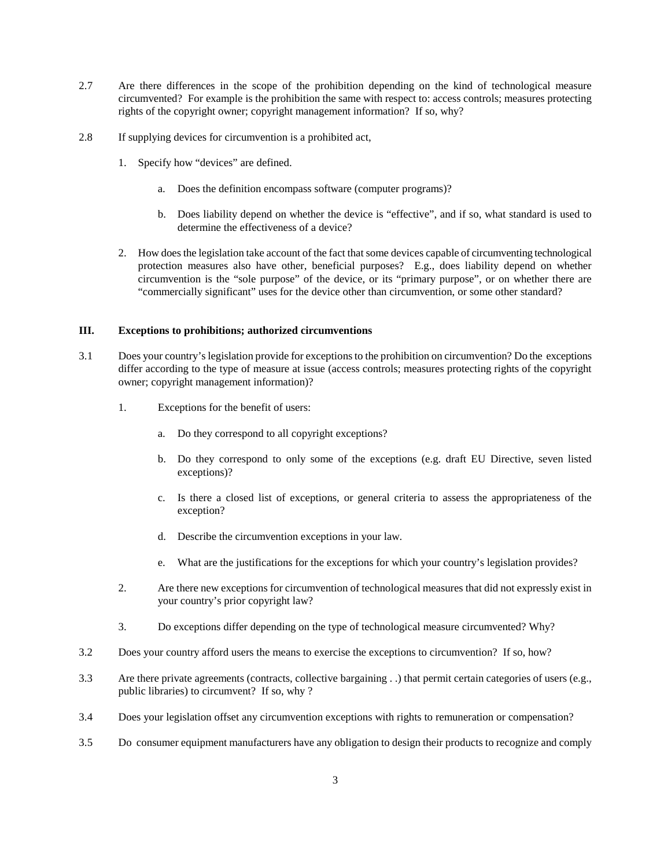- 2.7 Are there differences in the scope of the prohibition depending on the kind of technological measure circumvented? For example is the prohibition the same with respect to: access controls; measures protecting rights of the copyright owner; copyright management information? If so, why?
- 2.8 If supplying devices for circumvention is a prohibited act,
	- 1. Specify how "devices" are defined.
		- a. Does the definition encompass software (computer programs)?
		- b. Does liability depend on whether the device is "effective", and if so, what standard is used to determine the effectiveness of a device?
	- 2. How does the legislation take account of the fact that some devices capable of circumventing technological protection measures also have other, beneficial purposes? E.g., does liability depend on whether circumvention is the "sole purpose" of the device, or its "primary purpose", or on whether there are "commercially significant" uses for the device other than circumvention, or some other standard?

#### **III. Exceptions to prohibitions; authorized circumventions**

- 3.1 Does your country's legislation provide for exceptions to the prohibition on circumvention? Do the exceptions differ according to the type of measure at issue (access controls; measures protecting rights of the copyright owner; copyright management information)?
	- 1. Exceptions for the benefit of users:
		- a. Do they correspond to all copyright exceptions?
		- b. Do they correspond to only some of the exceptions (e.g. draft EU Directive, seven listed exceptions)?
		- c. Is there a closed list of exceptions, or general criteria to assess the appropriateness of the exception?
		- d. Describe the circumvention exceptions in your law.
		- e. What are the justifications for the exceptions for which your country's legislation provides?
	- 2. Are there new exceptions for circumvention of technological measures that did not expressly exist in your country's prior copyright law?
	- 3. Do exceptions differ depending on the type of technological measure circumvented? Why?
- 3.2 Does your country afford users the means to exercise the exceptions to circumvention? If so, how?
- 3.3 Are there private agreements (contracts, collective bargaining . .) that permit certain categories of users (e.g., public libraries) to circumvent? If so, why ?
- 3.4 Does your legislation offset any circumvention exceptions with rights to remuneration or compensation?
- 3.5 Do consumer equipment manufacturers have any obligation to design their products to recognize and comply